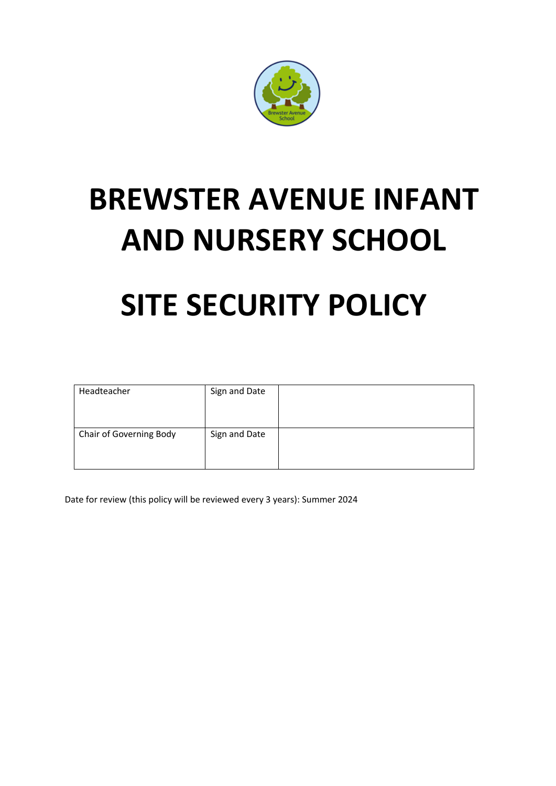

# **BREWSTER AVENUE INFANT AND NURSERY SCHOOL**

# **SITE SECURITY POLICY**

| Headteacher             | Sign and Date |  |
|-------------------------|---------------|--|
| Chair of Governing Body | Sign and Date |  |

Date for review (this policy will be reviewed every 3 years): Summer 2024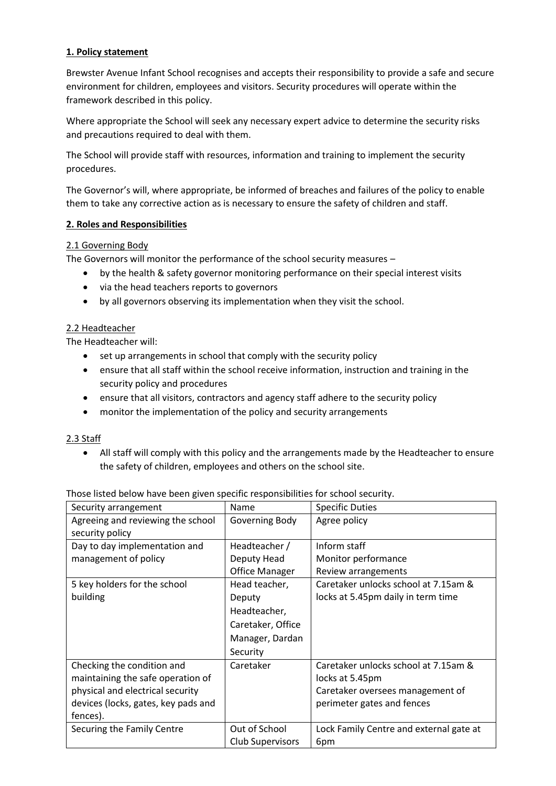## **1. Policy statement**

Brewster Avenue Infant School recognises and accepts their responsibility to provide a safe and secure environment for children, employees and visitors. Security procedures will operate within the framework described in this policy.

Where appropriate the School will seek any necessary expert advice to determine the security risks and precautions required to deal with them.

The School will provide staff with resources, information and training to implement the security procedures.

The Governor's will, where appropriate, be informed of breaches and failures of the policy to enable them to take any corrective action as is necessary to ensure the safety of children and staff.

#### **2. Roles and Responsibilities**

#### 2.1 Governing Body

The Governors will monitor the performance of the school security measures –

- by the health & safety governor monitoring performance on their special interest visits
- via the head teachers reports to governors
- by all governors observing its implementation when they visit the school.

#### 2.2 Headteacher

The Headteacher will:

- set up arrangements in school that comply with the security policy
- ensure that all staff within the school receive information, instruction and training in the security policy and procedures
- ensure that all visitors, contractors and agency staff adhere to the security policy
- monitor the implementation of the policy and security arrangements

#### 2.3 Staff

 All staff will comply with this policy and the arrangements made by the Headteacher to ensure the safety of children, employees and others on the school site.

| Security arrangement                | Name                    | <b>Specific Duties</b>                  |
|-------------------------------------|-------------------------|-----------------------------------------|
| Agreeing and reviewing the school   | Governing Body          | Agree policy                            |
| security policy                     |                         |                                         |
| Day to day implementation and       | Headteacher /           | Inform staff                            |
| management of policy                | Deputy Head             | Monitor performance                     |
|                                     | <b>Office Manager</b>   | Review arrangements                     |
| 5 key holders for the school        | Head teacher,           | Caretaker unlocks school at 7.15am &    |
| building                            | Deputy                  | locks at 5.45pm daily in term time      |
|                                     | Headteacher,            |                                         |
|                                     | Caretaker, Office       |                                         |
|                                     | Manager, Dardan         |                                         |
|                                     | Security                |                                         |
| Checking the condition and          | Caretaker               | Caretaker unlocks school at 7.15am &    |
| maintaining the safe operation of   |                         | locks at 5.45pm                         |
| physical and electrical security    |                         | Caretaker oversees management of        |
| devices (locks, gates, key pads and |                         | perimeter gates and fences              |
| fences).                            |                         |                                         |
| Securing the Family Centre          | Out of School           | Lock Family Centre and external gate at |
|                                     | <b>Club Supervisors</b> | 6pm                                     |

Those listed below have been given specific responsibilities for school security.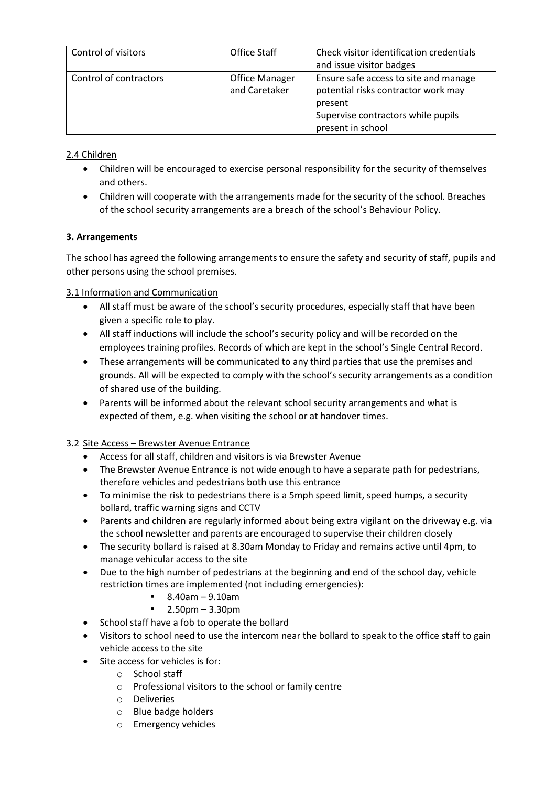| Control of visitors    | Office Staff                           | Check visitor identification credentials<br>and issue visitor badges                                                                               |
|------------------------|----------------------------------------|----------------------------------------------------------------------------------------------------------------------------------------------------|
| Control of contractors | <b>Office Manager</b><br>and Caretaker | Ensure safe access to site and manage<br>potential risks contractor work may<br>present<br>Supervise contractors while pupils<br>present in school |

2.4 Children

- Children will be encouraged to exercise personal responsibility for the security of themselves and others.
- Children will cooperate with the arrangements made for the security of the school. Breaches of the school security arrangements are a breach of the school's Behaviour Policy.

# **3. Arrangements**

The school has agreed the following arrangements to ensure the safety and security of staff, pupils and other persons using the school premises.

# 3.1 Information and Communication

- All staff must be aware of the school's security procedures, especially staff that have been given a specific role to play.
- All staff inductions will include the school's security policy and will be recorded on the employees training profiles. Records of which are kept in the school's Single Central Record.
- These arrangements will be communicated to any third parties that use the premises and grounds. All will be expected to comply with the school's security arrangements as a condition of shared use of the building.
- Parents will be informed about the relevant school security arrangements and what is expected of them, e.g. when visiting the school or at handover times.

# 3.2 Site Access – Brewster Avenue Entrance

- Access for all staff, children and visitors is via Brewster Avenue
- The Brewster Avenue Entrance is not wide enough to have a separate path for pedestrians, therefore vehicles and pedestrians both use this entrance
- To minimise the risk to pedestrians there is a 5mph speed limit, speed humps, a security bollard, traffic warning signs and CCTV
- Parents and children are regularly informed about being extra vigilant on the driveway e.g. via the school newsletter and parents are encouraged to supervise their children closely
- The security bollard is raised at 8.30am Monday to Friday and remains active until 4pm, to manage vehicular access to the site
- Due to the high number of pedestrians at the beginning and end of the school day, vehicle restriction times are implemented (not including emergencies):
	- 8.40am 9.10am
	- $-2.50$ pm  $-3.30$ pm
- School staff have a fob to operate the bollard
- Visitors to school need to use the intercom near the bollard to speak to the office staff to gain vehicle access to the site
- Site access for vehicles is for:
	- o School staff
	- o Professional visitors to the school or family centre
	- o Deliveries
	- o Blue badge holders
	- o Emergency vehicles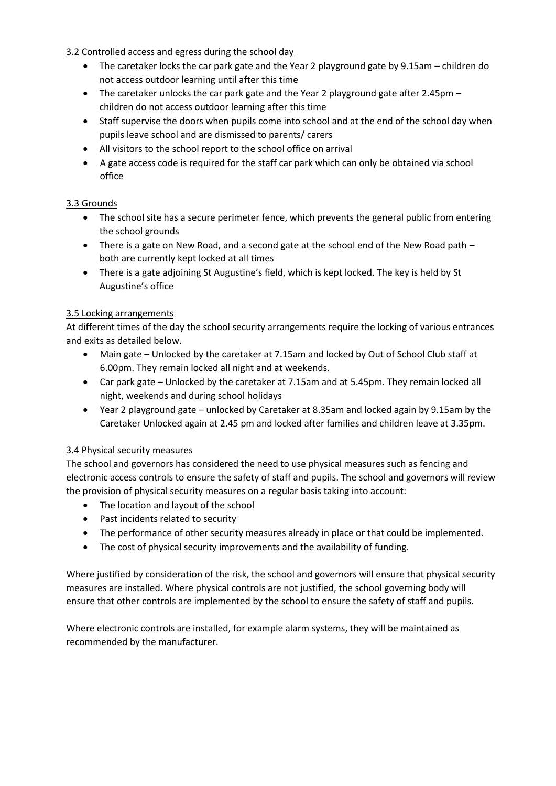3.2 Controlled access and egress during the school day

- The caretaker locks the car park gate and the Year 2 playground gate by 9.15am children do not access outdoor learning until after this time
- The caretaker unlocks the car park gate and the Year 2 playground gate after 2.45pm children do not access outdoor learning after this time
- Staff supervise the doors when pupils come into school and at the end of the school day when pupils leave school and are dismissed to parents/ carers
- All visitors to the school report to the school office on arrival
- A gate access code is required for the staff car park which can only be obtained via school office

## 3.3 Grounds

- The school site has a secure perimeter fence, which prevents the general public from entering the school grounds
- There is a gate on New Road, and a second gate at the school end of the New Road path both are currently kept locked at all times
- There is a gate adjoining St Augustine's field, which is kept locked. The key is held by St Augustine's office

## 3.5 Locking arrangements

At different times of the day the school security arrangements require the locking of various entrances and exits as detailed below.

- Main gate Unlocked by the caretaker at 7.15am and locked by Out of School Club staff at 6.00pm. They remain locked all night and at weekends.
- Car park gate Unlocked by the caretaker at 7.15am and at 5.45pm. They remain locked all night, weekends and during school holidays
- Year 2 playground gate unlocked by Caretaker at 8.35am and locked again by 9.15am by the Caretaker Unlocked again at 2.45 pm and locked after families and children leave at 3.35pm.

#### 3.4 Physical security measures

The school and governors has considered the need to use physical measures such as fencing and electronic access controls to ensure the safety of staff and pupils. The school and governors will review the provision of physical security measures on a regular basis taking into account:

- The location and layout of the school
- Past incidents related to security
- The performance of other security measures already in place or that could be implemented.
- The cost of physical security improvements and the availability of funding.

Where justified by consideration of the risk, the school and governors will ensure that physical security measures are installed. Where physical controls are not justified, the school governing body will ensure that other controls are implemented by the school to ensure the safety of staff and pupils.

Where electronic controls are installed, for example alarm systems, they will be maintained as recommended by the manufacturer.